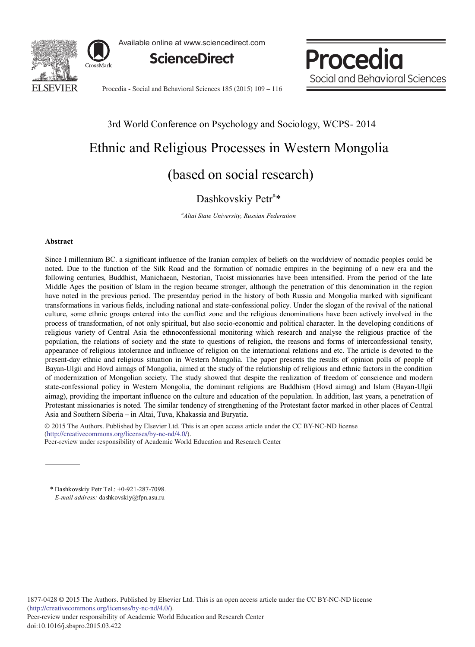

Available online at www.sciencedirect.com



Procedia Social and Behavioral Sciences

Procedia - Social and Behavioral Sciences 185 (2015) 109 - 116

## 3rd World Conference on Psychology and Sociology, WCPS- 2014

# Ethnic and Religious Processes in Western Mongolia

## (based on social research)

## Dashkovskiy Petr<sup>a\*</sup>

*a Altai State University, Russian Federation*

#### **Abstract**

Since I millennium BC. a significant influence of the Iranian complex of beliefs on the worldview of nomadic peoples could be noted. Due to the function of the Silk Road and the formation of nomadic empires in the beginning of a new era and the following centuries, Buddhist, Manichaean, Nestorian, Taoist missionaries have been intensified. From the period of the late Middle Ages the position of Islam in the region became stronger, although the penetration of this denomination in the region have noted in the previous period. The presentday period in the history of both Russia and Mongolia marked with significant transformations in various fields, including national and state-confessional policy. Under the slogan of the revival of the national culture, some ethnic groups entered into the conflict zone and the religious denominations have been actively involved in the process of transformation, of not only spiritual, but also socio-economic and political character. In the developing conditions of religious variety of Central Asia the ethnoconfessional monitoring which research and analyse the religious practice of the population, the relations of society and the state to questions of religion, the reasons and forms of interconfessional tensity, appearance of religious intolerance and influence of religion on the international relations and etc. The article is devoted to the present-day ethnic and religious situation in Western Mongolia. The paper presents the results of opinion polls of people of Bayan-Ulgii and Hovd aimags of Mongolia, aimed at the study of the relationship of religious and ethnic factors in the condition of modernization of Mongolian society. The study showed that despite the realization of freedom of conscience and modern state-confessional policy in Western Mongolia, the dominant religions are Buddhism (Hovd aimag) and Islam (Bayan-Ulgii aimag), providing the important influence on the culture and education of the population. In addition, last years, a penetration of Protestant missionaries is noted. The similar tendency of strengthening of the Protestant factor marked in other places of Central Asia and Southern Siberia – in Altai, Tuva, Khakassia and Buryatia.

© 2015 The Authors. Published by Elsevier Ltd. © 2015 The Authors. Published by Elsevier Ltd. This is an open access article under the CC BY-NC-ND license (http://creativecommons.org/licenses/by-nc-nd/4.0/). Peer-review under responsibility of Academic World Education and Research Center

\* Dashkovskiy Petr Tel.: +0-921-287-7098. *E-mail address:* dashkovskiy@fpn.asu.ru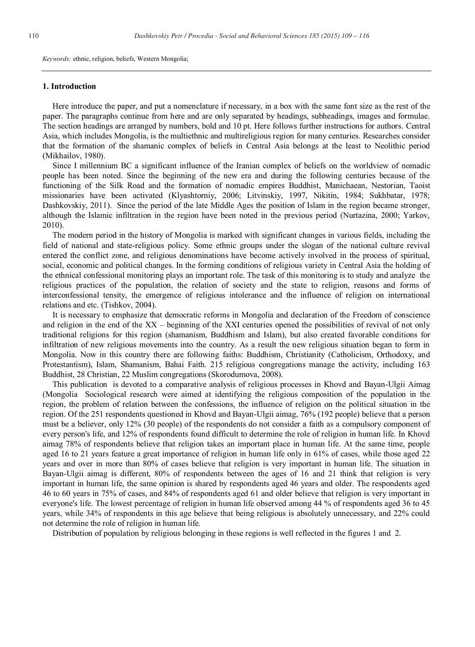*Keywords:* ethnic, religion, beliefs, Western Mongolia;

#### **1. Introduction**

Here introduce the paper, and put a nomenclature if necessary, in a box with the same font size as the rest of the paper. The paragraphs continue from here and are only separated by headings, subheadings, images and formulae. The section headings are arranged by numbers, bold and 10 pt. Here follows further instructions for authors. Central Asia, which includes Mongolia, is the multiethnic and multireligious region for many centuries. Researches consider that the formation of the shamanic complex of beliefs in Central Asia belongs at the least to Neolithic period (Mikhailov, 1980).

Since I millennium BC a significant influence of the Iranian complex of beliefs on the worldview of nomadic people has been noted. Since the beginning of the new era and during the following centuries because of the functioning of the Silk Road and the formation of nomadic empires Buddhist, Manichaean, Nestorian, Taoist missionaries have been activated (Klyashtorniy, 2006; Litvinskiy, 1997, Nikitin, 1984; Sukhbatar, 1978; Dashkovskiy, 2011). Since the period of the late Middle Ages the position of Islam in the region became stronger, although the Islamic infiltration in the region have been noted in the previous period (Nurtazina, 2000; Yarkov, 2010).

The modern period in the history of Mongolia is marked with significant changes in various fields, including the field of national and state-religious policy. Some ethnic groups under the slogan of the national culture revival entered the conflict zone, and religious denominations have become actively involved in the process of spiritual, social, economic and political changes. In the forming conditions of religious variety in Central Asia the holding of the ethnical confessional monitoring plays an important role. The task of this monitoring is to study and analyze the religious practices of the population, the relation of society and the state to religion, reasons and forms of interconfessional tensity, the emergence of religious intolerance and the influence of religion on international relations and etc. (Tishkov, 2004).

It is necessary to emphasize that democratic reforms in Mongolia and declaration of the Freedom of conscience and religion in the end of the XX – beginning of the XXI centuries opened the possibilities of revival of not only traditional religions for this region (shamanism, Buddhism and Islam), but also created favorable conditions for infiltration of new religious movements into the country. As a result the new religious situation began to form in Mongolia. Now in this country there are following faiths: Buddhism, Christianity (Catholicism, Orthodoxy, and Protestantism), Islam, Shamanism, Bahai Faith. 215 religious congregations manage the activity, including 163 Buddhist, 28 Christian, 22 Muslim congregations (Skorodumova, 2008).

This publication is devoted to a comparative analysis of religious processes in Khovd and Bayan-Ulgii Aimag (Mongolia Sociological research were aimed at identifying the religious composition of the population in the region, the problem of relation between the confessions, the influence of religion on the political situation in the region. Of the 251 respondents questioned in Khovd and Bayan-Ulgii aimag, 76% (192 people) believe that a person must be a believer, only 12% (30 people) of the respondents do not consider a faith as a compulsory component of every person's life, and 12% of respondents found difficult to determine the role of religion in human life. In Khovd aimag 78% of respondents believe that religion takes an important place in human life. At the same time, people aged 16 to 21 years feature a great importance of religion in human life only in 61% of cases, while those aged 22 years and over in more than 80% of cases believe that religion is very important in human life. The situation in Bayan-Ulgii aimag is different, 80% of respondents between the ages of 16 and 21 think that religion is very important in human life, the same opinion is shared by respondents aged 46 years and older. The respondents aged 46 to 60 years in 75% of cases, and 84% of respondents aged 61 and older believe that religion is very important in everyone's life. The lowest percentage of religion in human life observed among 44 % of respondents aged 36 to 45 years, while 34% of respondents in this age believe that being religious is absolutely unnecessary, and 22% could not determine the role of religion in human life.

Distribution of population by religious belonging in these regions is well reflected in the figures 1 and 2.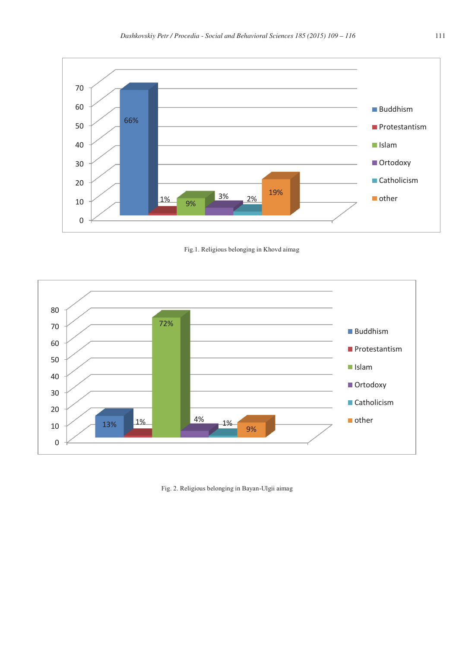

Fig.1. Religious belonging in Khovd aimag



Fig. 2. Religious belonging in Bayan-Ulgii aimag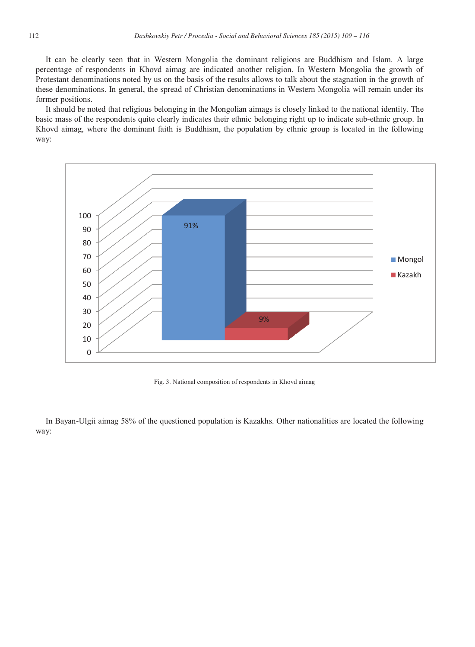It can be clearly seen that in Western Mongolia the dominant religions are Buddhism and Islam. A large percentage of respondents in Khovd aimag are indicated another religion. In Western Mongolia the growth of Protestant denominations noted by us on the basis of the results allows to talk about the stagnation in the growth of these denominations. In general, the spread of Christian denominations in Western Mongolia will remain under its former positions.

It should be noted that religious belonging in the Mongolian aimags is closely linked to the national identity. The basic mass of the respondents quite clearly indicates their ethnic belonging right up to indicate sub-ethnic group. In Khovd aimag, where the dominant faith is Buddhism, the population by ethnic group is located in the following way:



Fig. 3. National composition of respondents in Khovd aimag

In Bayan-Ulgii aimag 58% of the questioned population is Kazakhs. Other nationalities are located the following way: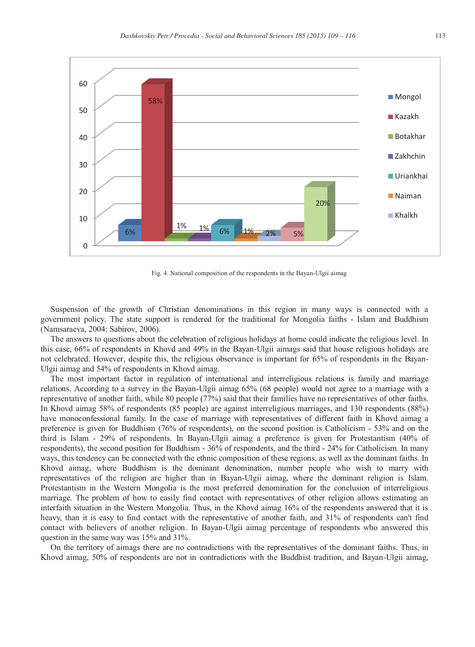

Fig. 4. National composition of the respondents in the Bayan-Ulgii aimag

Suspension of the growth of Christian denominations in this region in many ways is connected with a government policy. The state support is rendered for the traditional for Mongolia faiths - Islam and Buddhism (Namsaraeva, 2004; Sabirov, 2006).

The answers to questions about the celebration of religious holidays at home could indicate the religious level. In this case, 66% of respondents in Khovd and 49% in the Bayan-Ulgii aimags said that house religious holidays are not celebrated. However, despite this, the religious observance is important for 65% of respondents in the Bayan-Ulgii aimag and 54% of respondents in Khovd aimag.

The most important factor in regulation of international and interreligious relations is family and marriage relations. According to a survey in the Bayan-Ulgii aimag 65% (68 people) would not agree to a marriage with a representative of another faith, while 80 people (77%) said that their families have no representatives of other faiths. In Khovd aimag 58% of respondents (85 people) are against interreligious marriages, and 130 respondents (88%) have monoconfessional family. In the case of marriage with representatives of different faith in Khovd aimag a preference is given for Buddhism (76% of respondents), on the second position is Catholicism - 53% and on the third is Islam - 29% of respondents. In Bayan-Ulgii aimag a preference is given for Protestantism (40% of respondents), the second position for Buddhism - 36% of respondents, and the third - 24% for Catholicism. In many ways, this tendency can be connected with the ethnic composition of these regions, as well as the dominant faiths. In Khovd aimag, where Buddhism is the dominant denomination, number people who wish to marry with representatives of the religion are higher than in Bayan-Ulgii aimag, where the dominant religion is Islam. Protestantism in the Western Mongolia is the most preferred denomination for the conclusion of interreligious marriage. The problem of how to easily find contact with representatives of other religion allows estimating an interfaith situation in the Western Mongolia. Thus, in the Khovd aimag 16% of the respondents answered that it is heavy, than it is easy to find contact with the representative of another faith, and 31% of respondents can't find contact with believers of another religion. In Bayan-Ulgii aimag percentage of respondents who answered this question in the same way was 15% and 31%.

On the territory of aimags there are no contradictions with the representatives of the dominant faiths. Thus, in Khovd aimag, 50% of respondents are not in contradictions with the Buddhist tradition, and Bayan-Ulgii aimag,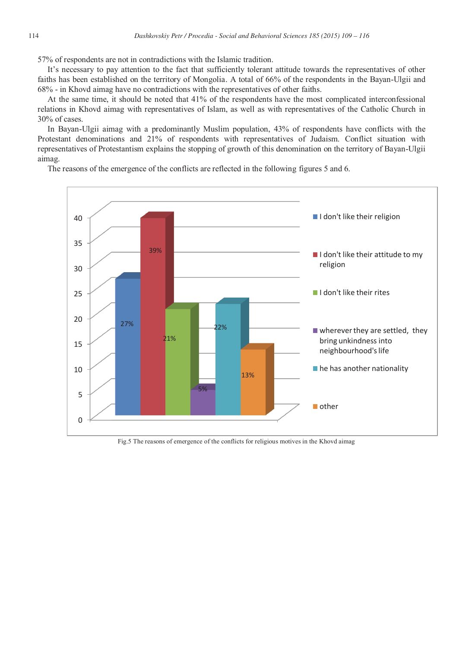57% of respondents are not in contradictions with the Islamic tradition.

It's necessary to pay attention to the fact that sufficiently tolerant attitude towards the representatives of other faiths has been established on the territory of Mongolia. A total of 66% of the respondents in the Bayan-Ulgii and 68% - in Khovd aimag have no contradictions with the representatives of other faiths.

At the same time, it should be noted that 41% of the respondents have the most complicated interconfessional relations in Khovd aimag with representatives of Islam, as well as with representatives of the Catholic Church in 30% of cases.

In Bayan-Ulgii aimag with a predominantly Muslim population, 43% of respondents have conflicts with the Protestant denominations and 21% of respondents with representatives of Judaism. Conflict situation with representatives of Protestantism explains the stopping of growth of this denomination on the territory of Bayan-Ulgii aimag.

The reasons of the emergence of the conflicts are reflected in the following figures 5 and 6.



Fig.5 The reasons of emergence of the conflicts for religious motives in the Khovd aimag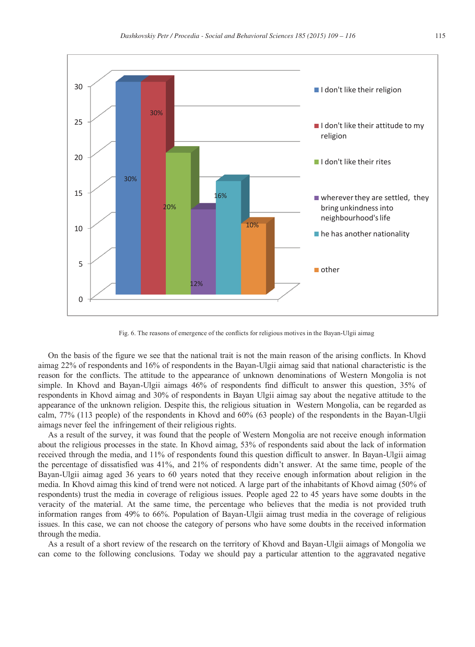

Fig. 6. The reasons of emergence of the conflicts for religious motives in the Bayan-Ulgii aimag

On the basis of the figure we see that the national trait is not the main reason of the arising conflicts. In Khovd aimag 22% of respondents and 16% of respondents in the Bayan-Ulgii aimag said that national characteristic is the reason for the conflicts. The attitude to the appearance of unknown denominations of Western Mongolia is not simple. In Khovd and Bayan-Ulgii aimags 46% of respondents find difficult to answer this question, 35% of respondents in Khovd aimag and 30% of respondents in Bayan Ulgii aimag say about the negative attitude to the appearance of the unknown religion. Despite this, the religious situation in Western Mongolia, can be regarded as calm, 77% (113 people) of the respondents in Khovd and 60% (63 people) of the respondents in the Bayan-Ulgii aimags never feel the infringement of their religious rights.

As a result of the survey, it was found that the people of Western Mongolia are not receive enough information about the religious processes in the state. In Khovd aimag, 53% of respondents said about the lack of information received through the media, and 11% of respondents found this question difficult to answer. In Bayan-Ulgii aimag the percentage of dissatisfied was 41%, and 21% of respondents didn't answer. At the same time, people of the Bayan-Ulgii aimag aged 36 years to 60 years noted that they receive enough information about religion in the media. In Khovd aimag this kind of trend were not noticed. A large part of the inhabitants of Khovd aimag (50% of respondents) trust the media in coverage of religious issues. People aged 22 to 45 years have some doubts in the veracity of the material. At the same time, the percentage who believes that the media is not provided truth information ranges from 49% to 66%. Population of Bayan-Ulgii aimag trust media in the coverage of religious issues. In this case, we can not choose the category of persons who have some doubts in the received information through the media.

As a result of a short review of the research on the territory of Khovd and Bayan-Ulgii aimags of Mongolia we can come to the following conclusions. Today we should pay a particular attention to the aggravated negative